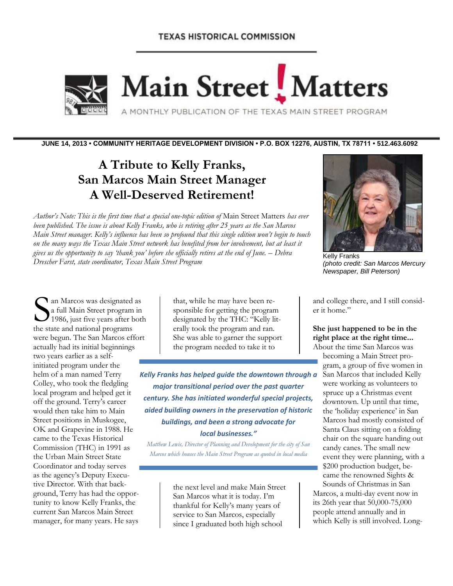# **TEXAS HISTORICAL COMMISSION**



Main Street Matters

A MONTHLY PUBLICATION OF THE TEXAS MAIN STREET PROGRAM

**JUNE 14, 2013 • COMMUNITY HERITAGE DEVELOPMENT DIVISION • P.O. BOX 12276, AUSTIN, TX 78711 • 512.463.6092**

# **A Tribute to Kelly Franks, San Marcos Main Street Manager A Well-Deserved Retirement!**

*Author's Note: This is the first time that a special one-topic edition of* Main Street Matters *has ever been published. The issue is about Kelly Franks, who is retiring after 25 years as the San Marcos Main Street manager. Kelly's influence has been so profound that this single edition won't begin to touch on the many ways the Texas Main Street network has benefited from her involvement, but at least it gives us the opportunity to say 'thank you' before she officially retires at the end of June. – Debra Drescher Farst, state coordinator, Texas Main Street Program*



Kelly Franks *(photo credit: San Marcos Mercury Newspaper, Bill Peterson)*

an Marcos was designated as a full Main Street program in 1986, just five years after both **S** an Marcos was designated<br>
a full Main Street program<br>
the state and national programs were begun. The San Marcos effort actually had its initial beginnings two years earlier as a selfinitiated program under the helm of a man named Terry Colley, who took the fledgling local program and helped get it off the ground. Terry's career would then take him to Main Street positions in Muskogee, OK and Grapevine in 1988. He came to the Texas Historical Commission (THC) in 1991 as the Urban Main Street State Coordinator and today serves as the agency's Deputy Executive Director. With that background, Terry has had the opportunity to know Kelly Franks, the current San Marcos Main Street manager, for many years. He says

that, while he may have been responsible for getting the program designated by the THC: "Kelly literally took the program and ran. She was able to garner the support the program needed to take it to

*Kelly Franks has helped guide the downtown through a major transitional period over the past quarter century. She has initiated wonderful special projects, aided building owners in the preservation of historic buildings, and been a strong advocate for local businesses."*

*Matthew Lewis, Director of Planning and Development for the city of San Marcos which houses the Main Street Program as quoted in local media*

> the next level and make Main Street San Marcos what it is today. I'm thankful for Kelly's many years of service to San Marcos, especially since I graduated both high school

and college there, and I still consider it home."

## **She just happened to be in the right place at the right time...**

About the time San Marcos was becoming a Main Street program, a group of five women in San Marcos that included Kelly were working as volunteers to spruce up a Christmas event downtown. Up until that time, the 'holiday experience' in San Marcos had mostly consisted of Santa Claus sitting on a folding chair on the square handing out candy canes. The small new event they were planning, with a \$200 production budget, became the renowned Sights & Sounds of Christmas in San Marcos, a multi-day event now in its 26th year that 50,000-75,000 people attend annually and in which Kelly is still involved. Long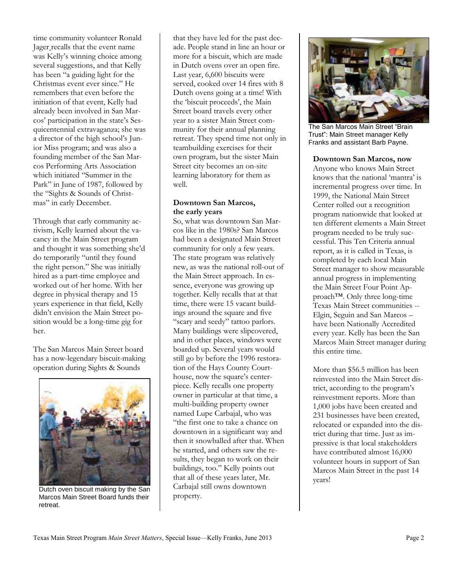time community volunteer Ronald Jager recalls that the event name was Kelly's winning choice among several suggestions, and that Kelly has been "a guiding light for the Christmas event ever since." He remembers that even before the initiation of that event, Kelly had already been involved in San Marcos' participation in the state's Sesquicentennial extravaganza; she was a director of the high school's Junior Miss program; and was also a founding member of the San Marcos Performing Arts Association which initiated "Summer in the Park" in June of 1987, followed by the "Sights & Sounds of Christmas" in early December.

Through that early community activism, Kelly learned about the vacancy in the Main Street program and thought it was something she'd do temporarily "until they found the right person." She was initially hired as a part-time employee and worked out of her home. With her degree in physical therapy and 15 years experience in that field, Kelly didn't envision the Main Street position would be a long-time gig for her.

The San Marcos Main Street board has a now-legendary biscuit-making operation during Sights & Sounds



Dutch oven biscuit making by the San Marcos Main Street Board funds their retreat.

that they have led for the past decade. People stand in line an hour or more for a biscuit, which are made in Dutch ovens over an open fire. Last year, 6,600 biscuits were served, cooked over 14 fires with 8 Dutch ovens going at a time! With the 'biscuit proceeds', the Main Street board travels every other year to a sister Main Street community for their annual planning retreat. They spend time not only in teambuilding exercises for their own program, but the sister Main Street city becomes an on-site learning laboratory for them as well.

## **Downtown San Marcos, the early years**

So, what was downtown San Marcos like in the 1980s? San Marcos had been a designated Main Street community for only a few years. The state program was relatively new, as was the national roll-out of the Main Street approach. In essence, everyone was growing up together. Kelly recalls that at that time, there were 15 vacant buildings around the square and five "scary and seedy" tattoo parlors. Many buildings were slipcovered, and in other places, windows were boarded up. Several years would still go by before the 1996 restoration of the Hays County Courthouse, now the square's centerpiece. Kelly recalls one property owner in particular at that time, a multi-building property owner named Lupe Carbajal, who was "the first one to take a chance on downtown in a significant way and then it snowballed after that. When he started, and others saw the results, they began to work on their buildings, too." Kelly points out that all of these years later, Mr. Carbajal still owns downtown property.



The San Marcos Main Street "Brain Trust": Main Street manager Kelly Franks and assistant Barb Payne.

## **Downtown San Marcos, now**

Anyone who knows Main Street knows that the national 'mantra' is incremental progress over time. In 1999, the National Main Street Center rolled out a recognition program nationwide that looked at ten different elements a Main Street program needed to be truly successful. This Ten Criteria annual report, as it is called in Texas, is completed by each local Main Street manager to show measurable annual progress in implementing the Main Street Four Point Approach™. Only three long-time Texas Main Street communities -- Elgin, Seguin and San Marcos – have been Nationally Accredited every year. Kelly has been the San Marcos Main Street manager during this entire time.

More than \$56.5 million has been reinvested into the Main Street district, according to the program's reinvestment reports. More than 1,000 jobs have been created and 231 businesses have been created, relocated or expanded into the district during that time. Just as impressive is that local stakeholders have contributed almost 16,000 volunteer hours in support of San Marcos Main Street in the past 14 years!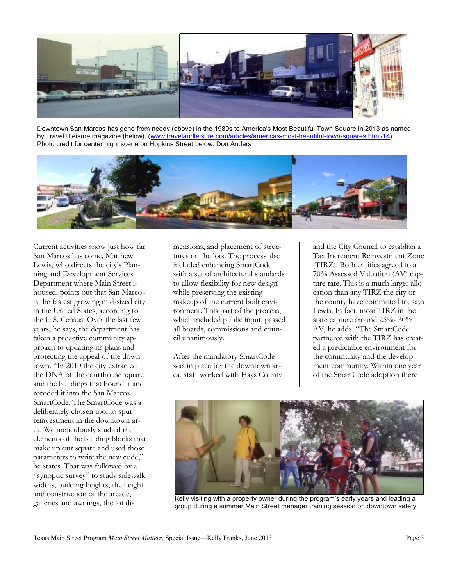

Downtown San Marcos has gone from needy (above) in the 1980s to America's Most Beautiful Town Square in 2013 as named by Travel+Leisure magazine (below). [\(www.travelandleisure.com/articles/americas-most-beautiful-town-squares.html/14\)](http://www.travelandleisure.com/articles/americas-most-beautiful-town-squares.html/14) Photo credit for center night scene on Hopkins Street below: Don Anders



Current activities show just how far San Marcos has come. Matthew Lewis, who directs the city's Planning and Development Services Department where Main Street is housed, points out that San Marcos is the fastest growing mid-sized city in the United States, according to the U.S. Census. Over the last few years, he says, the department has taken a proactive community approach to updating its plans and protecting the appeal of the downtown. "In 2010 the city extracted the DNA of the courthouse square and the buildings that bound it and recoded it into the San Marcos SmartCode. The SmartCode was a deliberately chosen tool to spur reinvestment in the downtown area. We meticulously studied the elements of the building blocks that make up our square and used those parameters to write the new code," he states. That was followed by a "synoptic survey" to study sidewalk widths, building heights, the height and construction of the arcade, galleries and awnings, the lot di-

mensions, and placement of structures on the lots. The process also included enhancing SmartCode with a set of architectural standards to allow flexibility for new design while preserving the existing makeup of the current built environment. This part of the process, which included public input, passed all boards, commissions and council unanimously.

After the mandatory SmartCode was in place for the downtown area, staff worked with Hays County and the City Council to establish a Tax Increment Reinvestment Zone (TIRZ). Both entities agreed to a 70% Assessed Valuation (AV) capture rate. This is a much larger allocation than any TIRZ the city or the county have committed to, says Lewis. In fact, most TIRZ in the state capture around 25%- 30% AV, he adds. "The SmartCode partnered with the TIRZ has created a predictable environment for the community and the development community. Within one year of the SmartCode adoption there



Kelly visiting with a property owner during the program's early years and leading a group during a summer Main Street manager training session on downtown safety.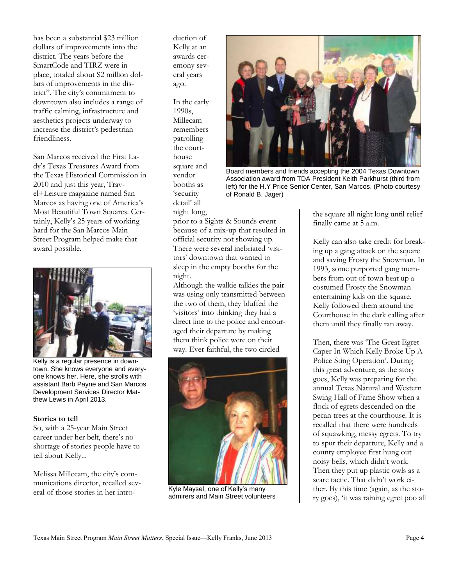has been a substantial \$23 million dollars of improvements into the district. The years before the SmartCode and TIRZ were in place, totaled about \$2 million dollars of improvements in the district". The city's commitment to downtown also includes a range of traffic calming, infrastructure and aesthetics projects underway to increase the district's pedestrian friendliness.

San Marcos received the First Lady's Texas Treasures Award from the Texas Historical Commission in 2010 and just this year, Travel+Leisure magazine named San Marcos as having one of America's Most Beautiful Town Squares. Certainly, Kelly's 25 years of working hard for the San Marcos Main Street Program helped make that award possible.



Kelly is a regular presence in downtown. She knows everyone and everyone knows her. Here, she strolls with assistant Barb Payne and San Marcos Development Services Director Matthew Lewis in April 2013.

## **Stories to tell**

So, with a 25-year Main Street career under her belt, there's no shortage of stories people have to tell about Kelly...

Melissa Millecam, the city's communications director, recalled several of those stories in her introduction of Kelly at an awards ceremony several years ago.

In the early 1990s, Millecam remembers patrolling the courthouse square and vendor booths as 'security detail' all night long,



Board members and friends accepting the 2004 Texas Downtown Association award from TDA President Keith Parkhurst (third from left) for the H.Y Price Senior Center, San Marcos. (Photo courtesy of Ronald B. Jager)

prior to a Sights & Sounds event because of a mix-up that resulted in official security not showing up. There were several inebriated 'visitors' downtown that wanted to sleep in the empty booths for the night.

Although the walkie talkies the pair was using only transmitted between the two of them, they bluffed the 'visitors' into thinking they had a direct line to the police and encouraged their departure by making them think police were on their way. Ever faithful, the two circled



Kyle Maysel, one of Kelly's many admirers and Main Street volunteers

the square all night long until relief finally came at 5 a.m.

Kelly can also take credit for breaking up a gang attack on the square and saving Frosty the Snowman. In 1993, some purported gang members from out of town beat up a costumed Frosty the Snowman entertaining kids on the square. Kelly followed them around the Courthouse in the dark calling after them until they finally ran away.

Then, there was 'The Great Egret Caper In Which Kelly Broke Up A Police Sting Operation'. During this great adventure, as the story goes, Kelly was preparing for the annual Texas Natural and Western Swing Hall of Fame Show when a flock of egrets descended on the pecan trees at the courthouse. It is recalled that there were hundreds of squawking, messy egrets. To try to spur their departure, Kelly and a county employee first hung out noisy bells, which didn't work. Then they put up plastic owls as a scare tactic. That didn't work either. By this time (again, as the story goes), 'it was raining egret poo all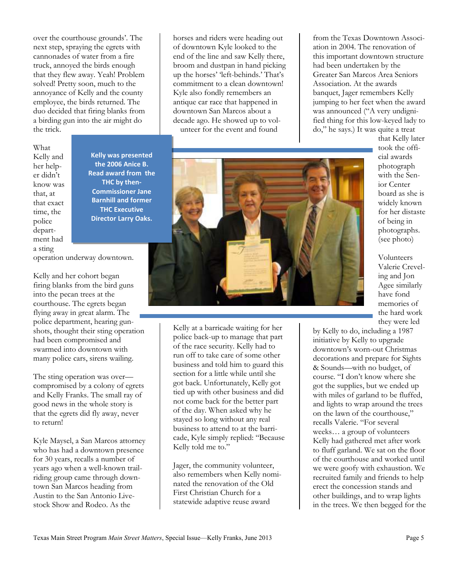over the courthouse grounds'. The next step, spraying the egrets with cannonades of water from a fire truck, annoyed the birds enough that they flew away. Yeah! Problem solved! Pretty soon, much to the annoyance of Kelly and the county employee, the birds returned. The duo decided that firing blanks from a birding gun into the air might do the trick.

What Kelly and her helper didn't know was that, at that exact time, the police department had a sting

**Kelly was presented the 2006 Anice B. Read award from the THC by then-Commissioner Jane Barnhill and former THC Executive Director Larry Oaks.**

operation underway downtown.

Kelly and her cohort began firing blanks from the bird guns into the pecan trees at the courthouse. The egrets began flying away in great alarm. The police department, hearing gunshots, thought their sting operation had been compromised and swarmed into downtown with many police cars, sirens wailing.

The sting operation was over compromised by a colony of egrets and Kelly Franks. The small ray of good news in the whole story is that the egrets did fly away, never to return!

Kyle Maysel, a San Marcos attorney who has had a downtown presence for 30 years, recalls a number of years ago when a well-known trailriding group came through downtown San Marcos heading from Austin to the San Antonio Livestock Show and Rodeo. As the

horses and riders were heading out of downtown Kyle looked to the end of the line and saw Kelly there, broom and dustpan in hand picking up the horses' 'left-behinds.' That's commitment to a clean downtown! Kyle also fondly remembers an antique car race that happened in downtown San Marcos about a decade ago. He showed up to volunteer for the event and found

from the Texas Downtown Association in 2004. The renovation of this important downtown structure had been undertaken by the Greater San Marcos Area Seniors Association. At the awards banquet, Jager remembers Kelly jumping to her feet when the award was announced ("A very undignified thing for this low-keyed lady to do," he says.) It was quite a treat



Kelly at a barricade waiting for her police back-up to manage that part of the race security. Kelly had to run off to take care of some other business and told him to guard this section for a little while until she got back. Unfortunately, Kelly got tied up with other business and did not come back for the better part of the day. When asked why he stayed so long without any real business to attend to at the barricade, Kyle simply replied: "Because Kelly told me to."

Jager, the community volunteer, also remembers when Kelly nominated the renovation of the Old First Christian Church for a statewide adaptive reuse award

that Kelly later took the official awards photograph with the Senior Center board as she is widely known for her distaste of being in photographs. (see photo)

Volunteers Valerie Creveling and Jon Agee similarly have fond memories of the hard work they were led

by Kelly to do, including a 1987 initiative by Kelly to upgrade downtown's worn-out Christmas decorations and prepare for Sights & Sounds—with no budget, of course. "I don't know where she got the supplies, but we ended up with miles of garland to be fluffed, and lights to wrap around the trees on the lawn of the courthouse," recalls Valerie. "For several weeks… a group of volunteers Kelly had gathered met after work to fluff garland. We sat on the floor of the courthouse and worked until we were goofy with exhaustion. We recruited family and friends to help erect the concession stands and other buildings, and to wrap lights in the trees. We then begged for the